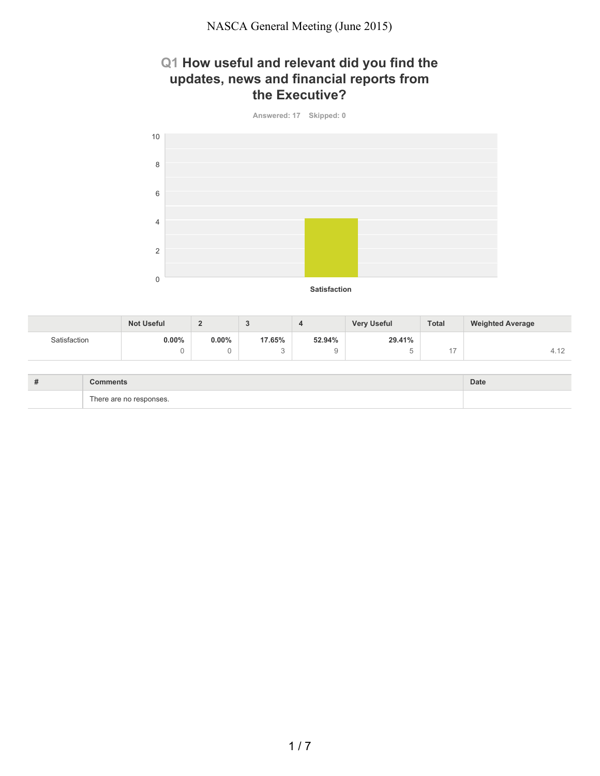## **Q1 How useful and relevant did you find the updates, news and financial reports from the Executive?**



|              | <b>Not Useful</b> | -        | ◡                             |        | <b>Very Useful</b> | <b>Total</b> | <b>Weighted Average</b> |
|--------------|-------------------|----------|-------------------------------|--------|--------------------|--------------|-------------------------|
| Satisfaction | 0.00%             | $0.00\%$ | 17.65%                        | 52.94% | 29.41%             |              |                         |
|              |                   |          | $\overline{\phantom{0}}$<br>ື |        |                    |              | 4.12                    |

| $+$<br># | <b>Comments</b>                   | Date |
|----------|-----------------------------------|------|
|          | $\sim$<br>There are no responses. |      |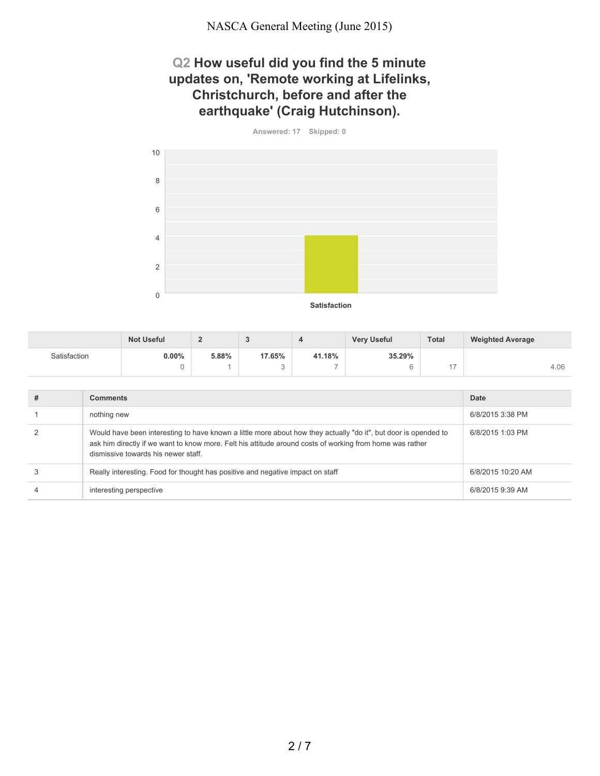#### **Q2 How useful did you find the 5 minute updates on, 'Remote working at Lifelinks, Christchurch, before and after the earthquake' (Craig Hutchinson).**

**Answered: 17 Skipped: 0**



|              | <b>Not Useful</b> |       |        |                          | <b>Very Useful</b> | <b>Total</b> | <b>Weighted Average</b> |
|--------------|-------------------|-------|--------|--------------------------|--------------------|--------------|-------------------------|
| Satisfaction | 0.00%             | 5.88% | 17.65% | 41.18%                   | 35.29%             |              |                         |
|              |                   |       |        | $\overline{\phantom{a}}$ |                    |              | 4.06                    |

| <b>Comments</b>                                                                                                                                                                                                                                                    | Date              |
|--------------------------------------------------------------------------------------------------------------------------------------------------------------------------------------------------------------------------------------------------------------------|-------------------|
| nothing new                                                                                                                                                                                                                                                        | 6/8/2015 3:38 PM  |
| Would have been interesting to have known a little more about how they actually "do it", but door is opended to<br>ask him directly if we want to know more. Felt his attitude around costs of working from home was rather<br>dismissive towards his newer staff. | 6/8/2015 1:03 PM  |
| Really interesting. Food for thought has positive and negative impact on staff                                                                                                                                                                                     | 6/8/2015 10:20 AM |
| interesting perspective                                                                                                                                                                                                                                            | 6/8/2015 9:39 AM  |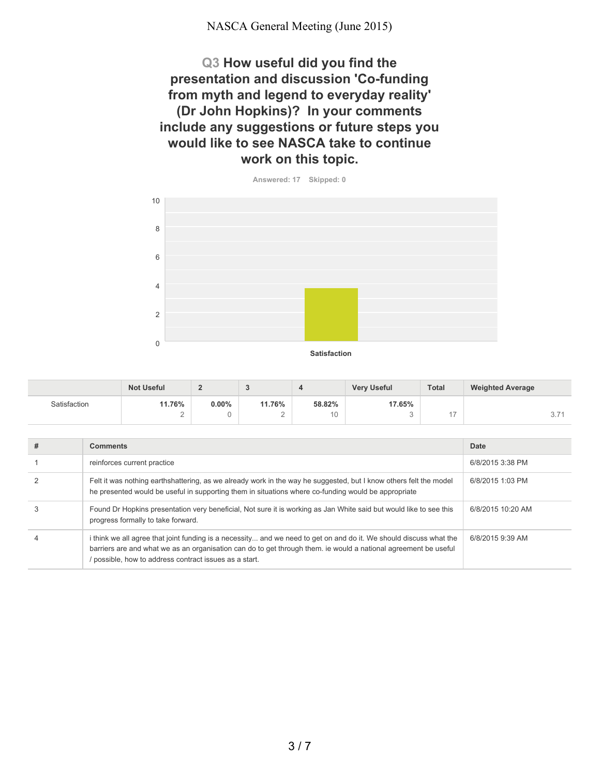**Q3 How useful did you find the presentation and discussion 'Co-funding from myth and legend to everyday reality' (Dr John Hopkins)? In your comments include any suggestions or future steps you would like to see NASCA take to continue work on this topic.**



|              | <b>Not Useful</b> | -        |        |             | <b>Very Useful</b> | <b>Total</b> | <b>Weighted Average</b> |
|--------------|-------------------|----------|--------|-------------|--------------------|--------------|-------------------------|
| Satisfaction | 11.76%            | $0.00\%$ | 11.76% | 58.82%      | 17.65%             |              |                         |
|              | ∼                 |          | -      | $\sim$<br>U |                    |              | $\cup$ .                |

| # | <b>Comments</b>                                                                                                                                                                                                                                                                               | Date              |
|---|-----------------------------------------------------------------------------------------------------------------------------------------------------------------------------------------------------------------------------------------------------------------------------------------------|-------------------|
|   | reinforces current practice                                                                                                                                                                                                                                                                   | 6/8/2015 3:38 PM  |
|   | Felt it was nothing earthshattering, as we already work in the way he suggested, but I know others felt the model<br>he presented would be useful in supporting them in situations where co-funding would be appropriate                                                                      | 6/8/2015 1:03 PM  |
| 3 | Found Dr Hopkins presentation very beneficial, Not sure it is working as Jan White said but would like to see this<br>progress formally to take forward.                                                                                                                                      | 6/8/2015 10:20 AM |
| 4 | i think we all agree that joint funding is a necessity and we need to get on and do it. We should discuss what the<br>barriers are and what we as an organisation can do to get through them. ie would a national agreement be useful<br>possible, how to address contract issues as a start. | 6/8/2015 9:39 AM  |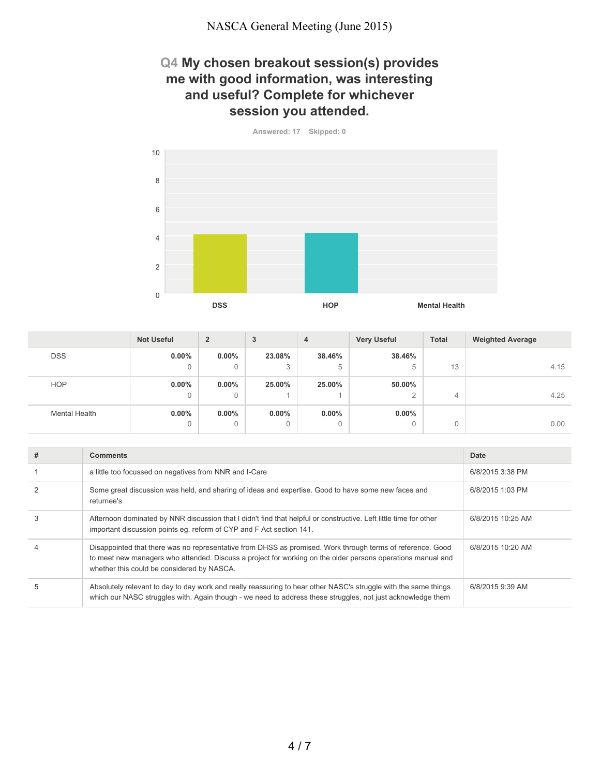#### **Q4 My chosen breakout session(s) provides me with good information, was interesting and useful? Complete for whichever session you attended.**

**Answered: 17 Skipped: 0**



|                      | <b>Not Useful</b> | $\overline{2}$ | 3        | 4        | <b>Very Useful</b> | <b>Total</b> | <b>Weighted Average</b> |
|----------------------|-------------------|----------------|----------|----------|--------------------|--------------|-------------------------|
| <b>DSS</b>           | $0.00\%$          | $0.00\%$       | 23.08%   | 38.46%   | 38.46%             |              |                         |
|                      | 0                 | $\mathbf{0}$   | 3        | 5        | 5                  | 13           | 4.15                    |
| <b>HOP</b>           | $0.00\%$          | $0.00\%$       | 25.00%   | 25.00%   | 50.00%             |              |                         |
|                      | 0                 | 0              |          |          | $\sim$<br>∼        | 4            | 4.25                    |
| <b>Mental Health</b> | $0.00\%$          | $0.00\%$       | $0.00\%$ | $0.00\%$ | $0.00\%$           |              |                         |
|                      | 0                 | $\mathbf{0}$   | 0        | 0        | $\Omega$           | 0            | 0.00                    |

| # | <b>Comments</b>                                                                                                                                                                                                                                                         | Date              |
|---|-------------------------------------------------------------------------------------------------------------------------------------------------------------------------------------------------------------------------------------------------------------------------|-------------------|
|   | a little too focussed on negatives from NNR and I-Care                                                                                                                                                                                                                  | 6/8/2015 3:38 PM  |
|   | Some great discussion was held, and sharing of ideas and expertise. Good to have some new faces and<br>returnee's                                                                                                                                                       | 6/8/2015 1:03 PM  |
| 3 | Afternoon dominated by NNR discussion that I didn't find that helpful or constructive. Left little time for other<br>important discussion points eq. reform of CYP and F Act section 141.                                                                               | 6/8/2015 10:25 AM |
|   | Disappointed that there was no representative from DHSS as promised. Work through terms of reference. Good<br>to meet new managers who attended. Discuss a project for working on the older persons operations manual and<br>whether this could be considered by NASCA. | 6/8/2015 10:20 AM |
|   | Absolutely relevant to day to day work and really reassuring to hear other NASC's struggle with the same things<br>which our NASC struggles with. Again though - we need to address these struggles, not just acknowledge them                                          | 6/8/2015 9:39 AM  |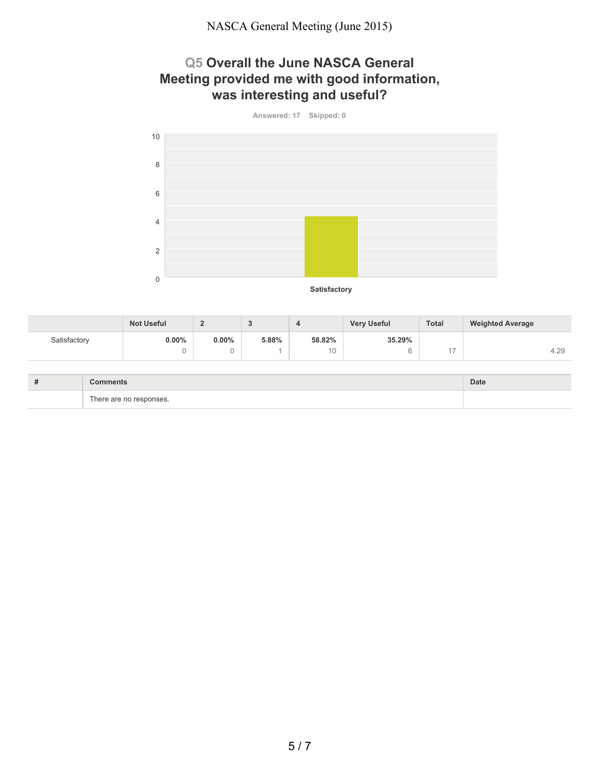## **Q5 Overall the June NASCA General Meeting provided me with good information, was interesting and useful?**



|              | <b>Not Useful</b> |          | ◡     |        | <b>Very Useful</b> | <b>Total</b> | <b>Weighted Average</b> |
|--------------|-------------------|----------|-------|--------|--------------------|--------------|-------------------------|
| Satisfactory | 0.00%             | $0.00\%$ | 5.88% | 58.82% | 35.29%             |              |                         |
|              |                   |          |       | 10     |                    |              | 4.29                    |

| $\overline{u}$<br># | omman                             | Date |
|---------------------|-----------------------------------|------|
|                     | $\sim$<br>rho:<br>neae<br>$$ 000. |      |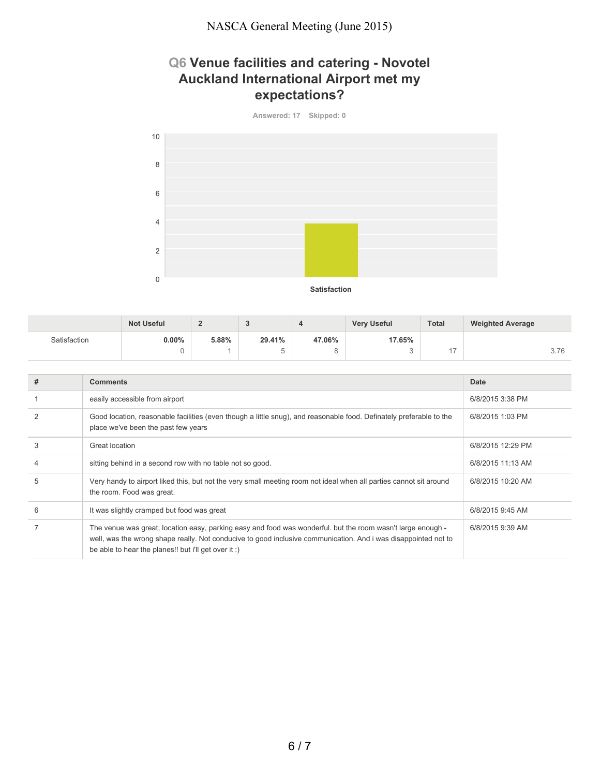# **Q6 Venue facilities and catering - Novotel Auckland International Airport met my expectations?**



|              | <b>Not Useful</b> |       | $\overline{\phantom{a}}$ |        | <b>Very Useful</b> | <b>Total</b> | <b>Weighted Average</b> |
|--------------|-------------------|-------|--------------------------|--------|--------------------|--------------|-------------------------|
| Satisfaction | 0.00%             | 5.88% | 29.41%                   | 47.06% | 17.65%             |              |                         |
|              |                   |       |                          | ັ      |                    | . .          | 3.76                    |

| # | <b>Comments</b>                                                                                                                                                                                                                                                                       | Date              |
|---|---------------------------------------------------------------------------------------------------------------------------------------------------------------------------------------------------------------------------------------------------------------------------------------|-------------------|
|   | easily accessible from airport                                                                                                                                                                                                                                                        | 6/8/2015 3:38 PM  |
|   | Good location, reasonable facilities (even though a little snug), and reasonable food. Definately preferable to the<br>place we've been the past few years                                                                                                                            | 6/8/2015 1:03 PM  |
| 3 | Great location                                                                                                                                                                                                                                                                        | 6/8/2015 12:29 PM |
| 4 | sitting behind in a second row with no table not so good.                                                                                                                                                                                                                             | 6/8/2015 11:13 AM |
| 5 | Very handy to airport liked this, but not the very small meeting room not ideal when all parties cannot sit around<br>the room. Food was great.                                                                                                                                       | 6/8/2015 10:20 AM |
| 6 | It was slightly cramped but food was great                                                                                                                                                                                                                                            | 6/8/2015 9:45 AM  |
|   | The venue was great, location easy, parking easy and food was wonderful. but the room wasn't large enough -<br>well, was the wrong shape really. Not conducive to good inclusive communication. And i was disappointed not to<br>be able to hear the planes!! but i'll get over it :) | 6/8/2015 9:39 AM  |